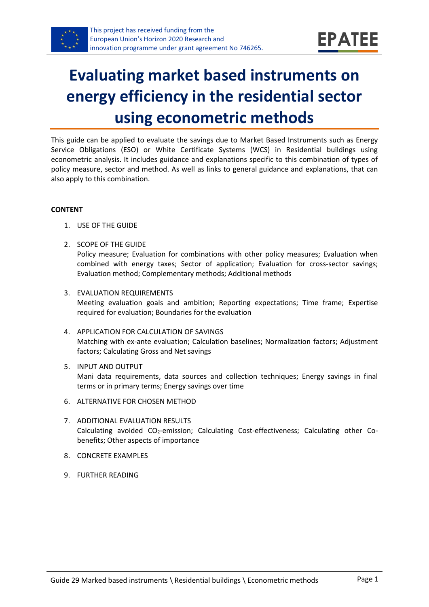

# **Evaluating market based instruments on energy efficiency in the residential sector using econometric methods**

This guide can be applied to evaluate the savings due to Market Based Instruments such as Energy Service Obligations (ESO) or White Certificate Systems (WCS) in Residential buildings using econometric analysis. It includes guidance and explanations specific to this combination of types of policy measure, sector and method. As well as links to general guidance and explanations, that can also apply to this combination.

#### **CONTENT**

- 1. USE OF THE GUIDE
- <span id="page-0-1"></span>2. SCOPE OF THE GUIDE Policy measure; Evaluation for combinations with other policy measures; Evaluation when combined with energy taxes; Sector of application; Evaluation for cross-sector savings; Evaluation method; Complementary methods; Additional methods
- <span id="page-0-2"></span>3. EVALUATION REQUIREMENTS Meeting evaluation goals and ambition; Reporting expectations; Time frame; Expertise required for evaluation; Boundaries for the evaluation
- <span id="page-0-3"></span>4. APPLICATION FOR CALCULATION OF SAVINGS Matching with ex-ante evaluation; Calculation baselines; Normalization factors; Adjustment factors; Calculating Gross and Net savings
- <span id="page-0-4"></span>5. INPUT AND OUTPUT Mani data requirements, data sources and collection techniques; Energy savings in final terms or in primary terms; Energy savings over time
- <span id="page-0-0"></span>6. ALTERNATIVE FOR CHOSEN METHOD
- <span id="page-0-5"></span>7. ADDITIONAL EVALUATION RESULTS Calculating avoided CO<sub>2</sub>-emission; Calculating Cost-effectiveness; Calculating other Cobenefits; Other aspects of importance
- <span id="page-0-6"></span>8. CONCRETE EXAMPLES
- <span id="page-0-7"></span>9. FURTHER READING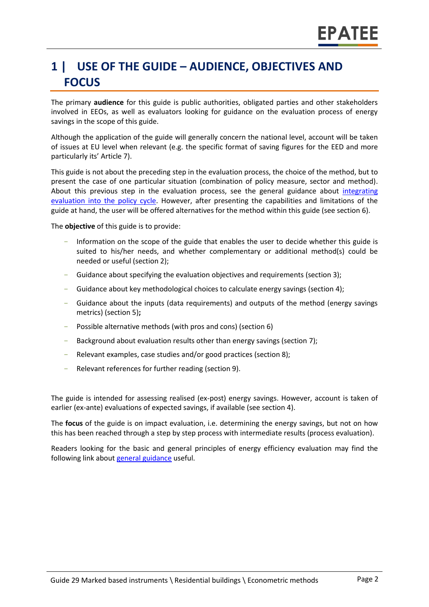# **1 | USE OF THE GUIDE – AUDIENCE, OBJECTIVES AND FOCUS**

The primary **audience** for this guide is public authorities, obligated parties and other stakeholders involved in EEOs, as well as evaluators looking for guidance on the evaluation process of energy savings in the scope of this guide.

Although the application of the guide will generally concern the national level, account will be taken of issues at EU level when relevant (e.g. the specific format of saving figures for the EED and more particularly its' Article 7).

This guide is not about the preceding step in the evaluation process, the choice of the method, but to present the case of one particular situation (combination of policy measure, sector and method). About this previous step in the evaluation process, see the general guidance about *integrating* [evaluation into the policy cycle.](https://www.epatee-toolbox.eu/wp-content/uploads/2019/04/epatee_integrating_evaluation_into_policy_cycle.pdf) However, after presenting the capabilities and limitations of the guide at hand, the user will be offered alternatives for the method within this guide (see section [6\)](#page-0-0).

The **objective** of this guide is to provide:

- Information on the scope of the guide that enables the user to decide whether this guide is suited to his/her needs, and whether complementary or additional method(s) could be needed or useful (sectio[n 2\)](#page-0-1);
- Guidance about specifying the evaluation objectives and requirements (section [3\)](#page-0-2);
- Guidance about key methodological choices to calculate energy savings (section [4\)](#page-0-3);
- Guidance about the inputs (data requirements) and outputs of the method (energy savings metrics) (sectio[n 5\)](#page-0-4)**;**
- Possible alternative methods (with pros and cons) (section [6\)](#page-0-0)
- Background about evaluation results other than energy savings (sectio[n 7\)](#page-0-5);
- Relevant examples, case studies and/or good practices (section [8\)](#page-0-6);
- Relevant references for further reading (section [9\)](#page-0-7).

The guide is intended for assessing realised (ex-post) energy savings. However, account is taken of earlier (ex-ante) evaluations of expected savings, if available (see section [4\)](#page-0-3).

The **focus** of the guide is on impact evaluation, i.e. determining the energy savings, but not on how this has been reached through a step by step process with intermediate results (process evaluation).

Readers looking for the basic and general principles of energy efficiency evaluation may find the following link about [general guidance](https://www.epatee-toolbox.eu/evaluation-principles-and-methods/epatee-topical-case-study-linkage-between-mv-tools-data-collection-and-evaluation-complementary-analysis/) useful.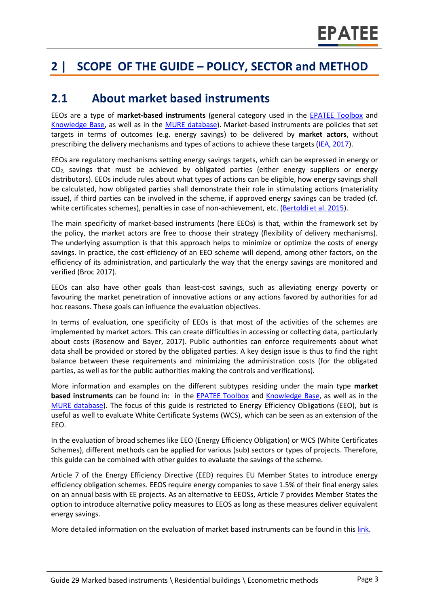# **2 | SCOPE OF THE GUIDE – POLICY, SECTOR and METHOD**

#### **2.1 About market based instruments**

EEOs are a type of **market-based instruments** (general category used in the [EPATEE Toolbox](https://www.epatee-toolbox.eu/) and [Knowledge Base,](https://epatee.eu/knowledge-base) as well as in the [MURE database\)](http://www.measures-odyssee-mure.eu/). Market-based instruments are policies that set targets in terms of outcomes (e.g. energy savings) to be delivered by **market actors**, without prescribing the delivery mechanisms and types of actions to achieve these targets [\(IEA, 2017\)](https://webstore.iea.org/insights-series-2017-market-based-instruments-for-energy-efficiency).

EEOs are regulatory mechanisms setting energy savings targets, which can be expressed in energy or  $CO<sub>2</sub>$  savings that must be achieved by obligated parties (either energy suppliers or energy distributors). EEOs include rules about what types of actions can be eligible, how energy savings shall be calculated, how obligated parties shall demonstrate their role in stimulating actions (materiality issue), if third parties can be involved in the scheme, if approved energy savings can be traded (cf. white certificates schemes), penalties in case of non-achievement, etc. [\(Bertoldi et al. 2015\)](https://www.eceee.org/library/conference_proceedings/eceee_Summer_Studies/2015/2-energy-efficiency-policies-8211-how-do-we-get-it-right/how-is-article-7-of-the-energy-efficiency-directive-being-implemented-an-analysis-of-national-energy-efficiency-obligations-schemes/).

The main specificity of market-based instruments (here EEOs) is that, within the framework set by the policy, the market actors are free to choose their strategy (flexibility of delivery mechanisms). The underlying assumption is that this approach helps to minimize or optimize the costs of energy savings. In practice, the cost-efficiency of an EEO scheme will depend, among other factors, on the efficiency of its administration, and particularly the way that the energy savings are monitored and verified (Broc 2017).

EEOs can also have other goals than least-cost savings, such as alleviating energy poverty or favouring the market penetration of innovative actions or any actions favored by authorities for ad hoc reasons. These goals can influence the evaluation objectives.

In terms of evaluation, one specificity of EEOs is that most of the activities of the schemes are implemented by market actors. This can create difficulties in accessing or collecting data, particularly about costs (Rosenow and Bayer, 2017). Public authorities can enforce requirements about what data shall be provided or stored by the obligated parties. A key design issue is thus to find the right balance between these requirements and minimizing the administration costs (for the obligated parties, as well as for the public authorities making the controls and verifications).

More information and examples on the different subtypes residing under the main type **market based instruments** can be found in: in the [EPATEE Toolbox](https://www.epatee-toolbox.eu/) and [Knowledge Base,](https://epatee.eu/knowledge-base) as well as in the [MURE database\)](http://www.measures-odyssee-mure.eu/). The focus of this guide is restricted to Energy Efficiency Obligations (EEO), but is useful as well to evaluate White Certificate Systems (WCS), which can be seen as an extension of the EEO.

In the evaluation of broad schemes like EEO (Energy Efficiency Obligation) or WCS (White Certificates Schemes), different methods can be applied for various (sub) sectors or types of projects. Therefore, this guide can be combined with other guides to evaluate the savings of the scheme.

Article 7 of the Energy Efficiency Directive (EED) requires EU Member States to introduce energy efficiency obligation schemes. EEOS require energy companies to save 1.5% of their final energy sales on an annual basis with EE projects. As an alternative to EEOSs, Article 7 provides Member States the option to introduce alternative policy measures to EEOS as long as these measures deliver equivalent energy savings.

More detailed information on the evaluation of market based instruments can be found in thi[s link.](https://www.epatee-lib.eu/media/docs/EMEEES_WP2_D1_Assessment_existing_evaluation_2008-04-21.pdf)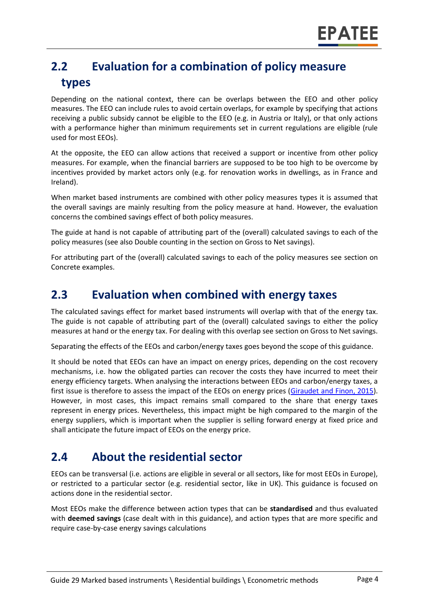# **2.2 Evaluation for a combination of policy measure types**

Depending on the national context, there can be overlaps between the EEO and other policy measures. The EEO can include rules to avoid certain overlaps, for example by specifying that actions receiving a public subsidy cannot be eligible to the EEO (e.g. in Austria or Italy), or that only actions with a performance higher than minimum requirements set in current regulations are eligible (rule used for most EEOs).

At the opposite, the EEO can allow actions that received a support or incentive from other policy measures. For example, when the financial barriers are supposed to be too high to be overcome by incentives provided by market actors only (e.g. for renovation works in dwellings, as in France and Ireland).

When market based instruments are combined with other policy measures types it is assumed that the overall savings are mainly resulting from the policy measure at hand. However, the evaluation concerns the combined savings effect of both policy measures.

The guide at hand is not capable of attributing part of the (overall) calculated savings to each of the policy measures (see also Double counting in the section on Gross to Net savings).

For attributing part of the (overall) calculated savings to each of the policy measures see section on Concrete examples.

#### **2.3 Evaluation when combined with energy taxes**

The calculated savings effect for market based instruments will overlap with that of the energy tax. The guide is not capable of attributing part of the (overall) calculated savings to either the policy measures at hand or the energy tax. For dealing with this overlap see section on Gross to Net savings.

Separating the effects of the EEOs and carbon/energy taxes goes beyond the scope of this guidance.

It should be noted that EEOs can have an impact on energy prices, depending on the cost recovery mechanisms, i.e. how the obligated parties can recover the costs they have incurred to meet their energy efficiency targets. When analysing the interactions between EEOs and carbon/energy taxes, a first issue is therefore to assess the impact of the EEOs on energy prices [\(Giraudet and](https://hal.archives-ouvertes.fr/hal-01016110/document) Finon, 2015). However, in most cases, this impact remains small compared to the share that energy taxes represent in energy prices. Nevertheless, this impact might be high compared to the margin of the energy suppliers, which is important when the supplier is selling forward energy at fixed price and shall anticipate the future impact of EEOs on the energy price.

#### **2.4 About the residential sector**

EEOs can be transversal (i.e. actions are eligible in several or all sectors, like for most EEOs in Europe), or restricted to a particular sector (e.g. residential sector, like in UK). This guidance is focused on actions done in the residential sector.

Most EEOs make the difference between action types that can be **standardised** and thus evaluated with **deemed savings** (case dealt with in this guidance), and action types that are more specific and require case-by-case energy savings calculations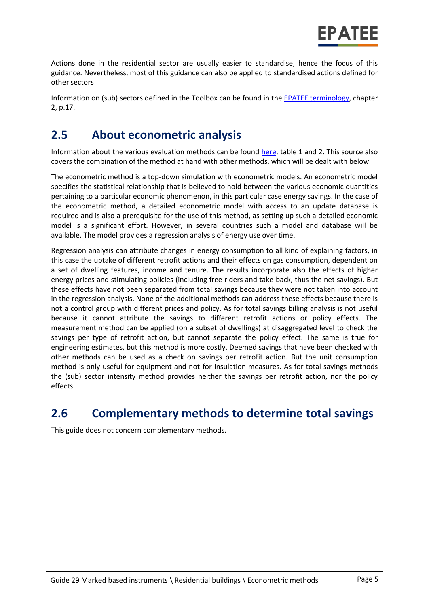Actions done in the residential sector are usually easier to standardise, hence the focus of this guidance. Nevertheless, most of this guidance can also be applied to standardised actions defined for other sectors

Information on (sub) sectors defined in the Toolbox can be found in the [EPATEE terminology,](https://www.epatee-toolbox.eu/wp-content/uploads/2018/10/Definitions-and-typologies-related-to-energy-savings-evaluation.pdf) chapter 2, p.17.

#### **2.5 About econometric analysis**

Information about the various evaluation methods can be found [here,](https://www.epatee-toolbox.eu/wp-content/uploads/2019/04/Saving_calculation_methods_for_EPATEE_Toobox_2019_04_24.pdf) table 1 and 2. This source also covers the combination of the method at hand with other methods, which will be dealt with below.

The econometric method is a top-down simulation with econometric models. An econometric model specifies the statistical relationship that is believed to hold between the various economic quantities pertaining to a particular economic phenomenon, in this particular case energy savings. In the case of the econometric method, a detailed econometric model with access to an update database is required and is also a prerequisite for the use of this method, as setting up such a detailed economic model is a significant effort. However, in several countries such a model and database will be available. The model provides a regression analysis of energy use over time.

Regression analysis can attribute changes in energy consumption to all kind of explaining factors, in this case the uptake of different retrofit actions and their effects on gas consumption, dependent on a set of dwelling features, income and tenure. The results incorporate also the effects of higher energy prices and stimulating policies (including free riders and take‐back, thus the net savings). But these effects have not been separated from total savings because they were not taken into account in the regression analysis. None of the additional methods can address these effects because there is not a control group with different prices and policy. As for total savings billing analysis is not useful because it cannot attribute the savings to different retrofit actions or policy effects. The measurement method can be applied (on a subset of dwellings) at disaggregated level to check the savings per type of retrofit action, but cannot separate the policy effect. The same is true for engineering estimates, but this method is more costly. Deemed savings that have been checked with other methods can be used as a check on savings per retrofit action. But the unit consumption method is only useful for equipment and not for insulation measures. As for total savings methods the (sub) sector intensity method provides neither the savings per retrofit action, nor the policy effects.

### **2.6 Complementary methods to determine total savings**

This guide does not concern complementary methods.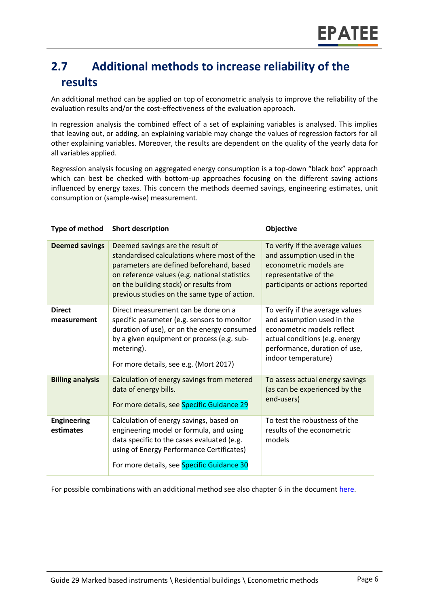# **2.7 Additional methods to increase reliability of the results**

An additional method can be applied on top of econometric analysis to improve the reliability of the evaluation results and/or the cost-effectiveness of the evaluation approach.

In regression analysis the combined effect of a set of explaining variables is analysed. This implies that leaving out, or adding, an explaining variable may change the values of regression factors for all other explaining variables. Moreover, the results are dependent on the quality of the yearly data for all variables applied.

Regression analysis focusing on aggregated energy consumption is a top-down "black box" approach which can best be checked with bottom-up approaches focusing on the different saving actions influenced by energy taxes. This concern the methods deemed savings, engineering estimates, unit consumption or (sample-wise) measurement.

| <b>Type of method</b>           | <b>Short description</b>                                                                                                                                                                                                                                               | <b>Objective</b>                                                                                                                                                                      |
|---------------------------------|------------------------------------------------------------------------------------------------------------------------------------------------------------------------------------------------------------------------------------------------------------------------|---------------------------------------------------------------------------------------------------------------------------------------------------------------------------------------|
| <b>Deemed savings</b>           | Deemed savings are the result of<br>standardised calculations where most of the<br>parameters are defined beforehand, based<br>on reference values (e.g. national statistics<br>on the building stock) or results from<br>previous studies on the same type of action. | To verify if the average values<br>and assumption used in the<br>econometric models are<br>representative of the<br>participants or actions reported                                  |
| <b>Direct</b><br>measurement    | Direct measurement can be done on a<br>specific parameter (e.g. sensors to monitor<br>duration of use), or on the energy consumed<br>by a given equipment or process (e.g. sub-<br>metering).<br>For more details, see e.g. (Mort 2017)                                | To verify if the average values<br>and assumption used in the<br>econometric models reflect<br>actual conditions (e.g. energy<br>performance, duration of use,<br>indoor temperature) |
| <b>Billing analysis</b>         | Calculation of energy savings from metered<br>data of energy bills.<br>For more details, see Specific Guidance 29                                                                                                                                                      | To assess actual energy savings<br>(as can be experienced by the<br>end-users)                                                                                                        |
| <b>Engineering</b><br>estimates | Calculation of energy savings, based on<br>engineering model or formula, and using<br>data specific to the cases evaluated (e.g.<br>using of Energy Performance Certificates)<br>For more details, see Specific Guidance 30                                            | To test the robustness of the<br>results of the econometric<br>models                                                                                                                 |

For possible combinations with an additional method see also chapter 6 in the document [here.](https://www.epatee-toolbox.eu/evaluation-principles-and-methods/general-principles/saving-calculation-methods-and-their-application-in-the-epatee-toolbox/)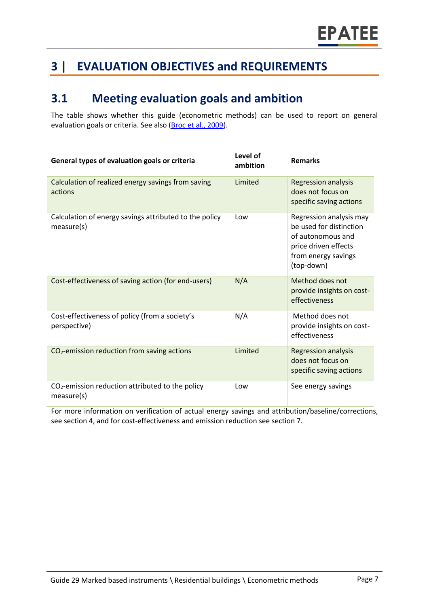# **3 | EVALUATION OBJECTIVES and REQUIREMENTS**

#### **3.1 Meeting evaluation goals and ambition**

The table shows whether this guide (econometric methods) can be used to report on general evaluation goals or criteria. See also [\(Broc et al.,](https://www.epatee-lib.eu/media/docs/D4_EMEEES_Final.pdf) 2009).

| General types of evaluation goals or criteria                        | Level of<br>ambition | <b>Remarks</b>                                                                                                                       |
|----------------------------------------------------------------------|----------------------|--------------------------------------------------------------------------------------------------------------------------------------|
| Calculation of realized energy savings from saving<br>actions        | Limited              | <b>Regression analysis</b><br>does not focus on<br>specific saving actions                                                           |
| Calculation of energy savings attributed to the policy<br>measure(s) | Low                  | Regression analysis may<br>be used for distinction<br>of autonomous and<br>price driven effects<br>from energy savings<br>(top-down) |
| Cost-effectiveness of saving action (for end-users)                  | N/A                  | Method does not<br>provide insights on cost-<br>effectiveness                                                                        |
| Cost-effectiveness of policy (from a society's<br>perspective)       | N/A                  | Method does not<br>provide insights on cost-<br>effectiveness                                                                        |
| CO <sub>2</sub> -emission reduction from saving actions              | Limited              | <b>Regression analysis</b><br>does not focus on<br>specific saving actions                                                           |
| $CO2$ -emission reduction attributed to the policy<br>measure(s)     | Low                  | See energy savings                                                                                                                   |

For more information on verification of actual energy savings and attribution/baseline/corrections, see section 4, and for cost-effectiveness and emission reduction see section 7.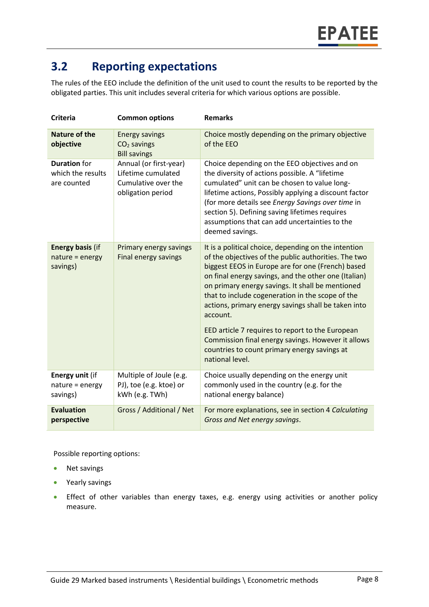## **3.2 Reporting expectations**

The rules of the EEO include the definition of the unit used to count the results to be reported by the obligated parties. This unit includes several criteria for which various options are possible.

| <b>Criteria</b>                                         | <b>Common options</b>                                                                    | <b>Remarks</b>                                                                                                                                                                                                                                                                                                                                                                                                                                                                                                                                                                    |
|---------------------------------------------------------|------------------------------------------------------------------------------------------|-----------------------------------------------------------------------------------------------------------------------------------------------------------------------------------------------------------------------------------------------------------------------------------------------------------------------------------------------------------------------------------------------------------------------------------------------------------------------------------------------------------------------------------------------------------------------------------|
| <b>Nature of the</b><br>objective                       | <b>Energy savings</b><br>CO <sub>2</sub> savings<br><b>Bill savings</b>                  | Choice mostly depending on the primary objective<br>of the EEO                                                                                                                                                                                                                                                                                                                                                                                                                                                                                                                    |
| <b>Duration</b> for<br>which the results<br>are counted | Annual (or first-year)<br>Lifetime cumulated<br>Cumulative over the<br>obligation period | Choice depending on the EEO objectives and on<br>the diversity of actions possible. A "lifetime<br>cumulated" unit can be chosen to value long-<br>lifetime actions, Possibly applying a discount factor<br>(for more details see Energy Savings over time in<br>section 5). Defining saving lifetimes requires<br>assumptions that can add uncertainties to the<br>deemed savings.                                                                                                                                                                                               |
| <b>Energy basis (if</b><br>nature = energy<br>savings)  | Primary energy savings<br>Final energy savings                                           | It is a political choice, depending on the intention<br>of the objectives of the public authorities. The two<br>biggest EEOS in Europe are for one (French) based<br>on final energy savings, and the other one (Italian)<br>on primary energy savings. It shall be mentioned<br>that to include cogeneration in the scope of the<br>actions, primary energy savings shall be taken into<br>account.<br>EED article 7 requires to report to the European<br>Commission final energy savings. However it allows<br>countries to count primary energy savings at<br>national level. |
| Energy unit (if<br>nature = energy<br>savings)          | Multiple of Joule (e.g.<br>PJ), toe (e.g. ktoe) or<br>kWh (e.g. TWh)                     | Choice usually depending on the energy unit<br>commonly used in the country (e.g. for the<br>national energy balance)                                                                                                                                                                                                                                                                                                                                                                                                                                                             |
| <b>Evaluation</b><br>perspective                        | Gross / Additional / Net                                                                 | For more explanations, see in section 4 Calculating<br>Gross and Net energy savings.                                                                                                                                                                                                                                                                                                                                                                                                                                                                                              |

Possible reporting options:

- Net savings
- Yearly savings
- Effect of other variables than energy taxes, e.g. energy using activities or another policy measure.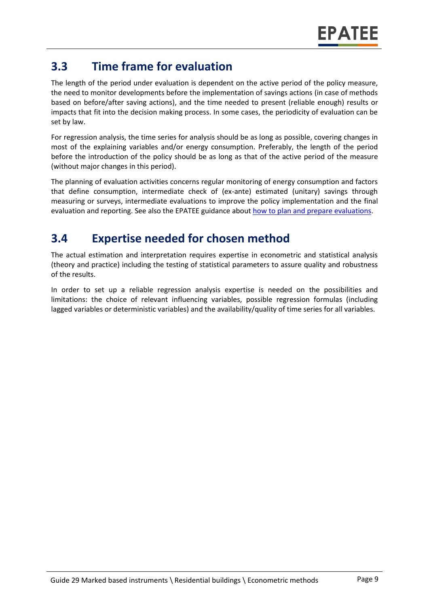### **3.3 Time frame for evaluation**

The length of the period under evaluation is dependent on the active period of the policy measure, the need to monitor developments before the implementation of savings actions (in case of methods based on before/after saving actions), and the time needed to present (reliable enough) results or impacts that fit into the decision making process. In some cases, the periodicity of evaluation can be set by law.

For regression analysis, the time series for analysis should be as long as possible, covering changes in most of the explaining variables and/or energy consumption. Preferably, the length of the period before the introduction of the policy should be as long as that of the active period of the measure (without major changes in this period).

The planning of evaluation activities concerns regular monitoring of energy consumption and factors that define consumption, intermediate check of (ex-ante) estimated (unitary) savings through measuring or surveys, intermediate evaluations to improve the policy implementation and the final evaluation and reporting. See also the EPATEE guidance about [how to plan and prepare evaluations.](https://www.epatee-toolbox.eu/evaluation-principles-and-methods/process-of-evaluation/how-to-plan-and-prepare-evaluations/)

## **3.4 Expertise needed for chosen method**

The actual estimation and interpretation requires expertise in econometric and statistical analysis (theory and practice) including the testing of statistical parameters to assure quality and robustness of the results.

In order to set up a reliable regression analysis expertise is needed on the possibilities and limitations: the choice of relevant influencing variables, possible regression formulas (including lagged variables or deterministic variables) and the availability/quality of time series for all variables.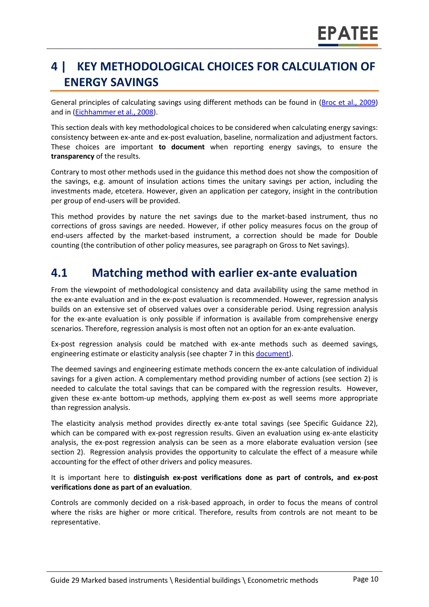# **4 | KEY METHODOLOGICAL CHOICES FOR CALCULATION OF ENERGY SAVINGS**

General principles of calculating savings using different methods can be found in [\(Broc et al.,](https://www.epatee-lib.eu/media/docs/D4_EMEEES_Final.pdf) 2009) and in [\(Eichhammer et al., 2008\)](https://www.epatee-lib.eu/media/docs/EMEEES_WP3_Report_Final.pdf).

This section deals with key methodological choices to be considered when calculating energy savings: consistency between ex-ante and ex-post evaluation, baseline, normalization and adjustment factors. These choices are important **to document** when reporting energy savings, to ensure the **transparency** of the results.

Contrary to most other methods used in the guidance this method does not show the composition of the savings, e.g. amount of insulation actions times the unitary savings per action, including the investments made, etcetera. However, given an application per category, insight in the contribution per group of end-users will be provided.

This method provides by nature the net savings due to the market-based instrument, thus no corrections of gross savings are needed. However, if other policy measures focus on the group of end-users affected by the market-based instrument, a correction should be made for Double counting (the contribution of other policy measures, see paragraph on Gross to Net savings).

#### **4.1 Matching method with earlier ex-ante evaluation**

From the viewpoint of methodological consistency and data availability using the same method in the ex-ante evaluation and in the ex-post evaluation is recommended. However, regression analysis builds on an extensive set of observed values over a considerable period. Using regression analysis for the ex-ante evaluation is only possible if information is available from comprehensive energy scenarios. Therefore, regression analysis is most often not an option for an ex-ante evaluation.

Ex-post regression analysis could be matched with ex-ante methods such as deemed savings, engineering estimate or elasticity analysis (see chapter 7 in thi[s document\)](https://www.epatee-toolbox.eu/wp-content/uploads/2019/04/Saving_calculation_methods_for_EPATEE_Toobox_2019_04_24.pdf).

The deemed savings and engineering estimate methods concern the ex-ante calculation of individual savings for a given action. A complementary method providing number of actions (see section 2) is needed to calculate the total savings that can be compared with the regression results. However, given these ex-ante bottom-up methods, applying them ex-post as well seems more appropriate than regression analysis.

The elasticity analysis method provides directly ex-ante total savings (see Specific Guidance 22), which can be compared with ex-post regression results. Given an evaluation using ex-ante elasticity analysis, the ex-post regression analysis can be seen as a more elaborate evaluation version (see section 2). Regression analysis provides the opportunity to calculate the effect of a measure while accounting for the effect of other drivers and policy measures.

It is important here to **distinguish ex-post verifications done as part of controls, and ex-post verifications done as part of an evaluation**.

Controls are commonly decided on a risk-based approach, in order to focus the means of control where the risks are higher or more critical. Therefore, results from controls are not meant to be representative.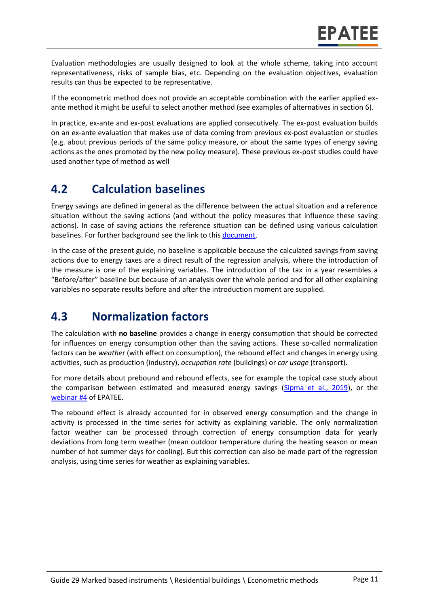Evaluation methodologies are usually designed to look at the whole scheme, taking into account representativeness, risks of sample bias, etc. Depending on the evaluation objectives, evaluation results can thus be expected to be representative.

If the econometric method does not provide an acceptable combination with the earlier applied exante method it might be useful to select another method (see examples of alternatives in section [6\)](#page-0-0).

In practice, ex-ante and ex-post evaluations are applied consecutively. The ex-post evaluation builds on an ex-ante evaluation that makes use of data coming from previous ex-post evaluation or studies (e.g. about previous periods of the same policy measure, or about the same types of energy saving actions as the ones promoted by the new policy measure). These previous ex-post studies could have used another type of method as well

### **4.2 Calculation baselines**

Energy savings are defined in general as the difference between the actual situation and a reference situation without the saving actions (and without the policy measures that influence these saving actions). In case of saving actions the reference situation can be defined using various calculation baselines. For further background see the link to thi[s document.](https://www.epatee-toolbox.eu/wp-content/uploads/2019/04/Application_of_KB_savings_baselines_and_correction_factors_in_the_Toolbox_and_PSMCs_190418_.pdf)

In the case of the present guide, no baseline is applicable because the calculated savings from saving actions due to energy taxes are a direct result of the regression analysis, where the introduction of the measure is one of the explaining variables. The introduction of the tax in a year resembles a "Before/after" baseline but because of an analysis over the whole period and for all other explaining variables no separate results before and after the introduction moment are supplied.

### **4.3 Normalization factors**

The calculation with **no baseline** provides a change in energy consumption that should be corrected for influences on energy consumption other than the saving actions. These so-called normalization factors can be *weathe*r (with effect on consumption), the rebound effect and changes in energy using activities, such as production (industry), *occupation rate* (buildings) or *car usage* (transport).

For more details about prebound and rebound effects, see for example the topical case study about the comparison between estimated and measured energy savings [\(Sipma et al., 2019\)](https://www.epatee-toolbox.eu/evaluation-principles-and-methods/epatee-topical-case-study-comparing-estimated-versus-measured-energy-savings/), or the [webinar #4](https://epatee.eu/events/webinar-4-how-and-what-can-we-learn-verifying-energy-savings-first-estimated-engineering) of EPATEE.

The rebound effect is already accounted for in observed energy consumption and the change in activity is processed in the time series for activity as explaining variable. The only normalization factor weather can be processed through correction of energy consumption data for yearly deviations from long term weather (mean outdoor temperature during the heating season or mean number of hot summer days for cooling). But this correction can also be made part of the regression analysis, using time series for weather as explaining variables.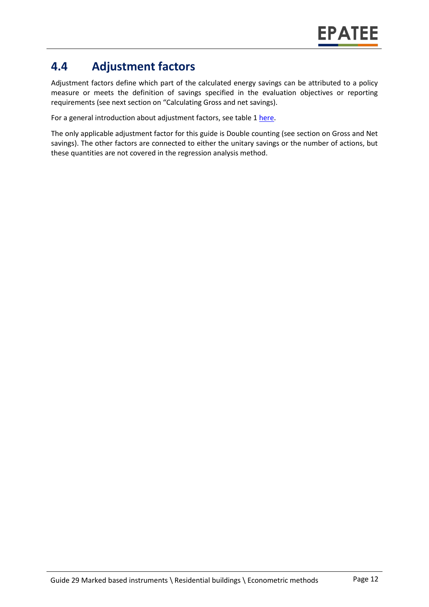### **4.4 Adjustment factors**

Adjustment factors define which part of the calculated energy savings can be attributed to a policy measure or meets the definition of savings specified in the evaluation objectives or reporting requirements (see next section on "Calculating Gross and net savings).

For a general introduction about adjustment factors, see table 1 [here.](https://www.epatee-toolbox.eu/wp-content/uploads/2019/04/Saving_calculation_methods_for_EPATEE_Toobox_2019_04_24.pdf)

The only applicable adjustment factor for this guide is Double counting (see section on Gross and Net savings). The other factors are connected to either the unitary savings or the number of actions, but these quantities are not covered in the regression analysis method.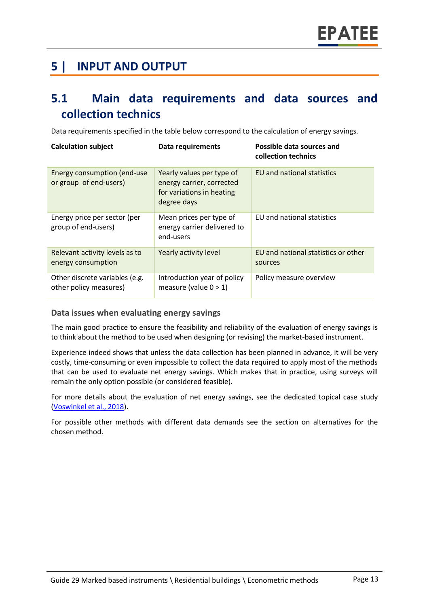### **5 | INPUT AND OUTPUT**

#### **5.1 Main data requirements and data sources and collection technics**

Data requirements specified in the table below correspond to the calculation of energy savings.

| <b>Calculation subject</b>                               | Data requirements                                                                                  | Possible data sources and<br>collection technics |
|----------------------------------------------------------|----------------------------------------------------------------------------------------------------|--------------------------------------------------|
| Energy consumption (end-use<br>or group of end-users)    | Yearly values per type of<br>energy carrier, corrected<br>for variations in heating<br>degree days | EU and national statistics                       |
| Energy price per sector (per<br>group of end-users)      | Mean prices per type of<br>energy carrier delivered to<br>end-users                                | EU and national statistics                       |
| Relevant activity levels as to<br>energy consumption     | Yearly activity level                                                                              | EU and national statistics or other<br>sources   |
| Other discrete variables (e.g.<br>other policy measures) | Introduction year of policy<br>measure (value $0 > 1$ )                                            | Policy measure overview                          |

#### **Data issues when evaluating energy savings**

The main good practice to ensure the feasibility and reliability of the evaluation of energy savings is to think about the method to be used when designing (or revising) the market-based instrument.

Experience indeed shows that unless the data collection has been planned in advance, it will be very costly, time-consuming or even impossible to collect the data required to apply most of the methods that can be used to evaluate net energy savings. Which makes that in practice, using surveys will remain the only option possible (or considered feasible).

For more details about the evaluation of net energy savings, see the dedicated topical case study (Voswinkel [et al., 2018\)](https://www.epatee-toolbox.eu/?page_id=416).

For possible other methods with different data demands see the section on alternatives for the chosen method.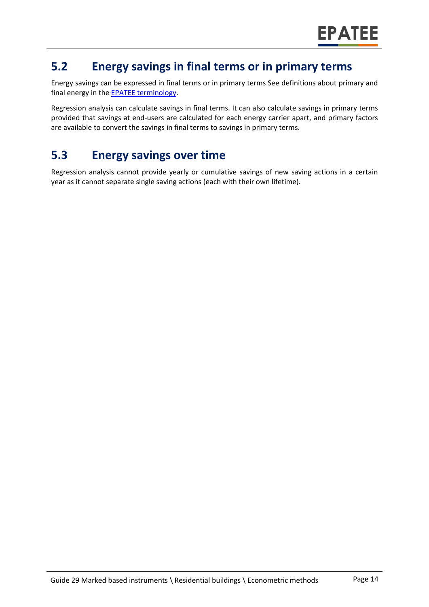#### **5.2 Energy savings in final terms or in primary terms**

Energy savings can be expressed in final terms or in primary terms See definitions about primary and final energy in the [EPATEE terminology.](https://www.epatee-toolbox.eu/wp-content/uploads/2018/10/Definitions-and-typologies-related-to-energy-savings-evaluation.pdf)

Regression analysis can calculate savings in final terms. It can also calculate savings in primary terms provided that savings at end-users are calculated for each energy carrier apart, and primary factors are available to convert the savings in final terms to savings in primary terms.

# **5.3 Energy savings over time**

Regression analysis cannot provide yearly or cumulative savings of new saving actions in a certain year as it cannot separate single saving actions (each with their own lifetime).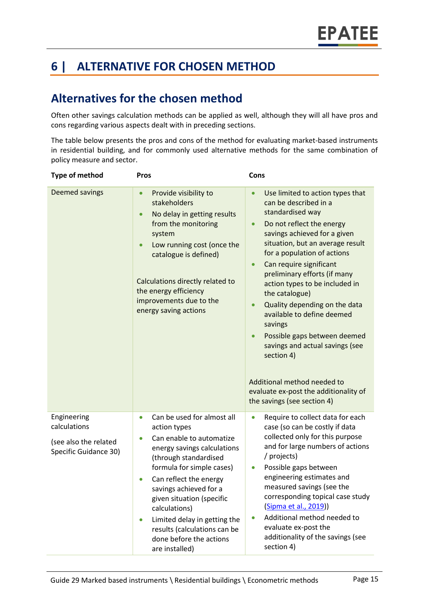# **6 | ALTERNATIVE FOR CHOSEN METHOD**

### **Alternatives for the chosen method**

Often other savings calculation methods can be applied as well, although they will all have pros and cons regarding various aspects dealt with in preceding sections.

The table below presents the pros and cons of the method for evaluating market-based instruments in residential building, and for commonly used alternative methods for the same combination of policy measure and sector.

| <b>Type of method</b>                                                         | Pros                                                                                                                                                                                                                                                                                                                                                                                                                           | Cons                                                                                                                                                                                                                                                                                                                                                                                                                                                                                                                                                                                                        |
|-------------------------------------------------------------------------------|--------------------------------------------------------------------------------------------------------------------------------------------------------------------------------------------------------------------------------------------------------------------------------------------------------------------------------------------------------------------------------------------------------------------------------|-------------------------------------------------------------------------------------------------------------------------------------------------------------------------------------------------------------------------------------------------------------------------------------------------------------------------------------------------------------------------------------------------------------------------------------------------------------------------------------------------------------------------------------------------------------------------------------------------------------|
| Deemed savings                                                                | Provide visibility to<br>$\bullet$<br>stakeholders<br>No delay in getting results<br>$\bullet$<br>from the monitoring<br>system<br>Low running cost (once the<br>catalogue is defined)<br>Calculations directly related to<br>the energy efficiency<br>improvements due to the<br>energy saving actions                                                                                                                        | Use limited to action types that<br>can be described in a<br>standardised way<br>Do not reflect the energy<br>savings achieved for a given<br>situation, but an average result<br>for a population of actions<br>Can require significant<br>preliminary efforts (if many<br>action types to be included in<br>the catalogue)<br>Quality depending on the data<br>available to define deemed<br>savings<br>Possible gaps between deemed<br>$\bullet$<br>savings and actual savings (see<br>section 4)<br>Additional method needed to<br>evaluate ex-post the additionality of<br>the savings (see section 4) |
| Engineering<br>calculations<br>(see also the related<br>Specific Guidance 30) | Can be used for almost all<br>$\bullet$<br>action types<br>Can enable to automatize<br>$\bullet$<br>energy savings calculations<br>(through standardised<br>formula for simple cases)<br>Can reflect the energy<br>$\bullet$<br>savings achieved for a<br>given situation (specific<br>calculations)<br>Limited delay in getting the<br>$\bullet$<br>results (calculations can be<br>done before the actions<br>are installed) | Require to collect data for each<br>$\bullet$<br>case (so can be costly if data<br>collected only for this purpose<br>and for large numbers of actions<br>/ projects)<br>Possible gaps between<br>$\bullet$<br>engineering estimates and<br>measured savings (see the<br>corresponding topical case study<br>(Sipma et al., 2019))<br>Additional method needed to<br>evaluate ex-post the<br>additionality of the savings (see<br>section 4)                                                                                                                                                                |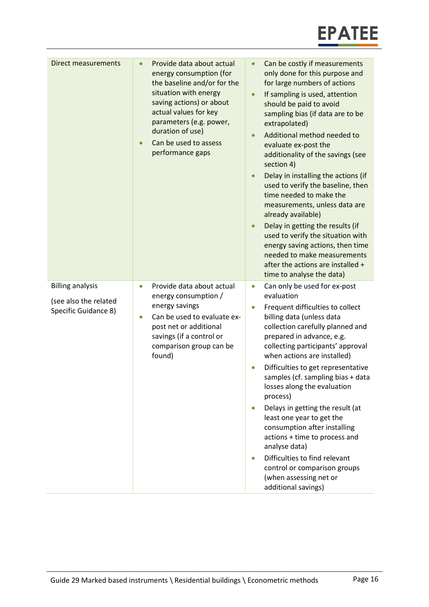

| Direct measurements                                                      | Provide data about actual<br>$\bullet$<br>energy consumption (for<br>the baseline and/or for the<br>situation with energy<br>saving actions) or about<br>actual values for key<br>parameters (e.g. power,<br>duration of use)<br>Can be used to assess<br>$\bullet$<br>performance gaps | Can be costly if measurements<br>only done for this purpose and<br>for large numbers of actions<br>If sampling is used, attention<br>$\bullet$<br>should be paid to avoid<br>sampling bias (if data are to be<br>extrapolated)<br>Additional method needed to<br>$\bullet$<br>evaluate ex-post the<br>additionality of the savings (see<br>section 4)<br>Delay in installing the actions (if<br>used to verify the baseline, then<br>time needed to make the<br>measurements, unless data are<br>already available)<br>Delay in getting the results (if<br>$\bullet$<br>used to verify the situation with<br>energy saving actions, then time<br>needed to make measurements<br>after the actions are installed +<br>time to analyse the data) |
|--------------------------------------------------------------------------|-----------------------------------------------------------------------------------------------------------------------------------------------------------------------------------------------------------------------------------------------------------------------------------------|------------------------------------------------------------------------------------------------------------------------------------------------------------------------------------------------------------------------------------------------------------------------------------------------------------------------------------------------------------------------------------------------------------------------------------------------------------------------------------------------------------------------------------------------------------------------------------------------------------------------------------------------------------------------------------------------------------------------------------------------|
| <b>Billing analysis</b><br>(see also the related<br>Specific Guidance 8) | Provide data about actual<br>$\bullet$<br>energy consumption /<br>energy savings<br>Can be used to evaluate ex-<br>$\bullet$<br>post net or additional<br>savings (if a control or<br>comparison group can be<br>found)                                                                 | Can only be used for ex-post<br>$\bullet$<br>evaluation<br>Frequent difficulties to collect<br>$\bullet$<br>billing data (unless data<br>collection carefully planned and<br>prepared in advance, e.g.<br>collecting participants' approval<br>when actions are installed)<br>Difficulties to get representative<br>samples (cf. sampling bias + data<br>losses along the evaluation<br>process)<br>Delays in getting the result (at<br>$\bullet$<br>least one year to get the<br>consumption after installing<br>actions + time to process and<br>analyse data)<br>Difficulties to find relevant<br>control or comparison groups<br>(when assessing net or<br>additional savings)                                                             |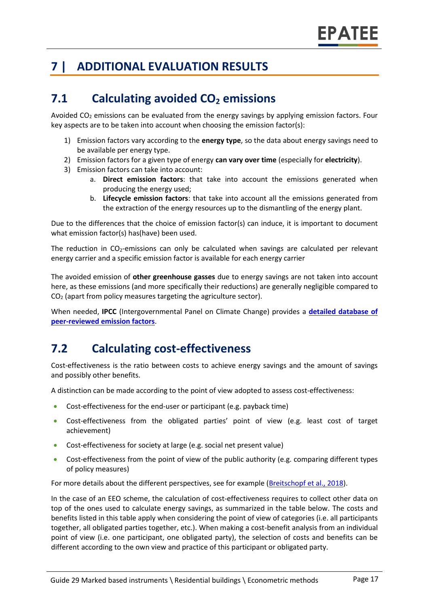# **7 | ADDITIONAL EVALUATION RESULTS**

### **7.1 Calculating avoided CO<sup>2</sup> emissions**

Avoided  $CO<sub>2</sub>$  emissions can be evaluated from the energy savings by applying emission factors. Four key aspects are to be taken into account when choosing the emission factor(s):

- 1) Emission factors vary according to the **energy type**, so the data about energy savings need to be available per energy type.
- 2) Emission factors for a given type of energy **can vary over time** (especially for **electricity**).
- 3) Emission factors can take into account:
	- a. **Direct emission factors**: that take into account the emissions generated when producing the energy used;
	- b. **Lifecycle emission factors**: that take into account all the emissions generated from the extraction of the energy resources up to the dismantling of the energy plant.

Due to the differences that the choice of emission factor(s) can induce, it is important to document what emission factor(s) has(have) been used.

The reduction in  $CO<sub>2</sub>$ -emissions can only be calculated when savings are calculated per relevant energy carrier and a specific emission factor is available for each energy carrier

The avoided emission of **other greenhouse gasses** due to energy savings are not taken into account here, as these emissions (and more specifically their reductions) are generally negligible compared to CO<sup>2</sup> (apart from policy measures targeting the agriculture sector).

When needed, **IPCC** (Intergovernmental Panel on Climate Change) provides a **[detailed database of](https://www.ipcc-nggip.iges.or.jp/EFDB/main.php)  [peer-reviewed emission factors](https://www.ipcc-nggip.iges.or.jp/EFDB/main.php)**.

### **7.2 Calculating cost-effectiveness**

Cost-effectiveness is the ratio between costs to achieve energy savings and the amount of savings and possibly other benefits.

A distinction can be made according to the point of view adopted to assess cost-effectiveness:

- Cost-effectiveness for the end-user or participant (e.g. payback time)
- Cost-effectiveness from the obligated parties' point of view (e.g. least cost of target achievement)
- Cost-effectiveness for society at large (e.g. social net present value)
- Cost-effectiveness from the point of view of the public authority (e.g. comparing different types of policy measures)

For more details about the different perspectives, see for example [\(Breitschopf](https://epatee.eu/system/tdf/epatee_report_on_the_knowledge_base.pdf?file=1&type=node&id=29&force=1) et al., 2018).

In the case of an EEO scheme, the calculation of cost-effectiveness requires to collect other data on top of the ones used to calculate energy savings, as summarized in the table below. The costs and benefits listed in this table apply when considering the point of view of categories (i.e. all participants together, all obligated parties together, etc.). When making a cost-benefit analysis from an individual point of view (i.e. one participant, one obligated party), the selection of costs and benefits can be different according to the own view and practice of this participant or obligated party.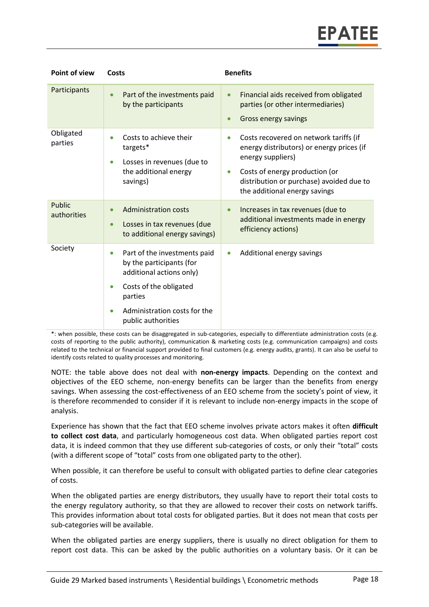| <b>Point of view</b>  | Costs                                                                                                                                                                                                                  | <b>Benefits</b>                                                                                                                                                                                                                                   |
|-----------------------|------------------------------------------------------------------------------------------------------------------------------------------------------------------------------------------------------------------------|---------------------------------------------------------------------------------------------------------------------------------------------------------------------------------------------------------------------------------------------------|
| Participants          | Part of the investments paid<br>$\bullet$<br>by the participants                                                                                                                                                       | Financial aids received from obligated<br>$\bullet$<br>parties (or other intermediaries)<br>Gross energy savings<br>$\bullet$                                                                                                                     |
| Obligated<br>parties  | Costs to achieve their<br>$\bullet$<br>targets*<br>Losses in revenues (due to<br>$\bullet$<br>the additional energy<br>savings)                                                                                        | Costs recovered on network tariffs (if<br>$\bullet$<br>energy distributors) or energy prices (if<br>energy suppliers)<br>Costs of energy production (or<br>$\bullet$<br>distribution or purchase) avoided due to<br>the additional energy savings |
| Public<br>authorities | <b>Administration costs</b><br>$\bullet$<br>Losses in tax revenues (due<br>$\bullet$<br>to additional energy savings)                                                                                                  | Increases in tax revenues (due to<br>$\bullet$<br>additional investments made in energy<br>efficiency actions)                                                                                                                                    |
| Society               | Part of the investments paid<br>$\bullet$<br>by the participants (for<br>additional actions only)<br>Costs of the obligated<br>$\bullet$<br>parties<br>Administration costs for the<br>$\bullet$<br>public authorities | Additional energy savings<br>$\bullet$                                                                                                                                                                                                            |

\*: when possible, these costs can be disaggregated in sub-categories, especially to differentiate administration costs (e.g. costs of reporting to the public authority), communication & marketing costs (e.g. communication campaigns) and costs related to the technical or financial support provided to final customers (e.g. energy audits, grants). It can also be useful to identify costs related to quality processes and monitoring.

NOTE: the table above does not deal with **non-energy impacts**. Depending on the context and objectives of the EEO scheme, non-energy benefits can be larger than the benefits from energy savings. When assessing the cost-effectiveness of an EEO scheme from the society's point of view, it is therefore recommended to consider if it is relevant to include non-energy impacts in the scope of analysis.

Experience has shown that the fact that EEO scheme involves private actors makes it often **difficult to collect cost data**, and particularly homogeneous cost data. When obligated parties report cost data, it is indeed common that they use different sub-categories of costs, or only their "total" costs (with a different scope of "total" costs from one obligated party to the other).

When possible, it can therefore be useful to consult with obligated parties to define clear categories of costs.

When the obligated parties are energy distributors, they usually have to report their total costs to the energy regulatory authority, so that they are allowed to recover their costs on network tariffs. This provides information about total costs for obligated parties. But it does not mean that costs per sub-categories will be available.

When the obligated parties are energy suppliers, there is usually no direct obligation for them to report cost data. This can be asked by the public authorities on a voluntary basis. Or it can be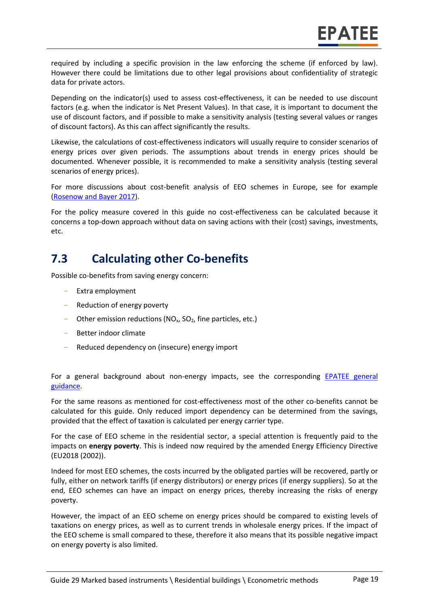required by including a specific provision in the law enforcing the scheme (if enforced by law). However there could be limitations due to other legal provisions about confidentiality of strategic data for private actors.

Depending on the indicator(s) used to assess cost-effectiveness, it can be needed to use discount factors (e.g. when the indicator is Net Present Values). In that case, it is important to document the use of discount factors, and if possible to make a sensitivity analysis (testing several values or ranges of discount factors). As this can affect significantly the results.

Likewise, the calculations of cost-effectiveness indicators will usually require to consider scenarios of energy prices over given periods. The assumptions about trends in energy prices should be documented. Whenever possible, it is recommended to make a sensitivity analysis (testing several scenarios of energy prices).

For more discussions about cost-benefit analysis of EEO schemes in Europe, see for example [\(Rosenow and Bayer 2017\)](https://www.eceee.org/library/conference_proceedings/eceee_Summer_Studies/2017/2-policy-governance-design-implementation-and-evaluation-challenges/costs-and-benefits-of-energy-efficiency-obligations-a-review-of-european-programmes/).

For the policy measure covered in this guide no cost-effectiveness can be calculated because it concerns a top-down approach without data on saving actions with their (cost) savings, investments, etc.

#### **7.3 Calculating other Co-benefits**

Possible co-benefits from saving energy concern:

- Extra employment
- Reduction of energy poverty
- Other emission reductions ( $NO<sub>x</sub>$ ,  $SO<sub>2</sub>$ , fine particles, etc.)
- Better indoor climate
- Reduced dependency on (insecure) energy import

For a general background about non-energy impacts, see the corresponding [EPATEE general](https://www.epatee-toolbox.eu/evaluation-principles-and-methods/general-principles/evaluating-impacts-other-than-energy-savings/)  [guidance.](https://www.epatee-toolbox.eu/evaluation-principles-and-methods/general-principles/evaluating-impacts-other-than-energy-savings/)

For the same reasons as mentioned for cost-effectiveness most of the other co-benefits cannot be calculated for this guide. Only reduced import dependency can be determined from the savings, provided that the effect of taxation is calculated per energy carrier type.

For the case of EEO scheme in the residential sector, a special attention is frequently paid to the impacts on **energy poverty**. This is indeed now required by the amended Energy Efficiency Directive (EU2018 (2002)).

Indeed for most EEO schemes, the costs incurred by the obligated parties will be recovered, partly or fully, either on network tariffs (if energy distributors) or energy prices (if energy suppliers). So at the end, EEO schemes can have an impact on energy prices, thereby increasing the risks of energy poverty.

However, the impact of an EEO scheme on energy prices should be compared to existing levels of taxations on energy prices, as well as to current trends in wholesale energy prices. If the impact of the EEO scheme is small compared to these, therefore it also means that its possible negative impact on energy poverty is also limited.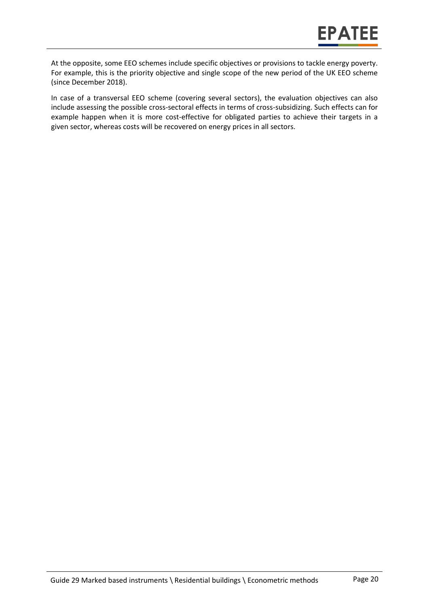At the opposite, some EEO schemes include specific objectives or provisions to tackle energy poverty. For example, this is the priority objective and single scope of the new period of the UK EEO scheme (since December 2018).

In case of a transversal EEO scheme (covering several sectors), the evaluation objectives can also include assessing the possible cross-sectoral effects in terms of cross-subsidizing. Such effects can for example happen when it is more cost-effective for obligated parties to achieve their targets in a given sector, whereas costs will be recovered on energy prices in all sectors.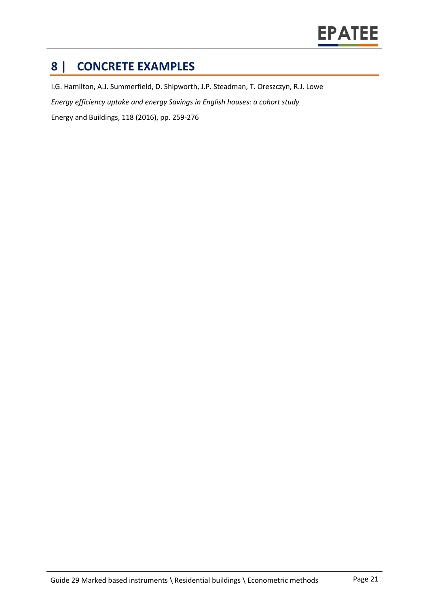

### **8 | CONCRETE EXAMPLES**

I.G. Hamilton, A.J. Summerfield, D. Shipworth, J.P. Steadman, T. Oreszczyn, R.J. Lowe *Energy efficiency uptake and energy Savings in English houses: a cohort study* Energy and Buildings, 118 (2016), pp. 259-276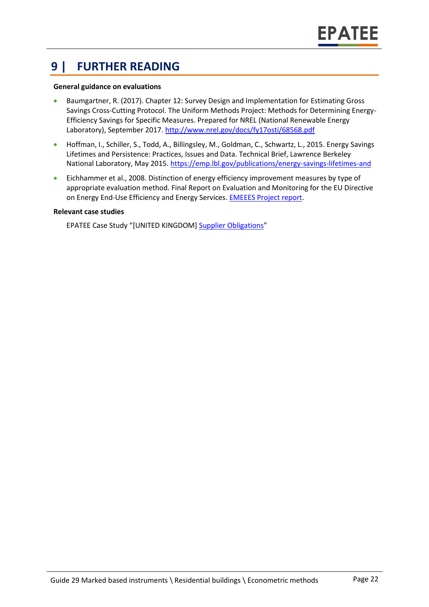#### **9 | FURTHER READING**

#### **General guidance on evaluations**

- Baumgartner, R. (2017). Chapter 12: Survey Design and Implementation for Estimating Gross Savings Cross-Cutting Protocol. The Uniform Methods Project: Methods for Determining Energy-Efficiency Savings for Specific Measures. Prepared for NREL (National Renewable Energy Laboratory), September 2017.<http://www.nrel.gov/docs/fy17osti/68568.pdf>
- Hoffman, I., Schiller, S., Todd, A., Billingsley, M., Goldman, C., Schwartz, L., 2015. Energy Savings Lifetimes and Persistence: Practices, Issues and Data. Technical Brief, Lawrence Berkeley National Laboratory, May 2015[. https://emp.lbl.gov/publications/energy-savings-lifetimes-and](https://emp.lbl.gov/publications/energy-savings-lifetimes-and)
- Eichhammer et al., 2008. Distinction of energy efficiency improvement measures by type of appropriate evaluation method. Final Report on Evaluation and Monitoring for the EU Directive on Energy End-Use Efficiency and Energy Services. [EMEEES Project report.](https://www.epatee-lib.eu/media/docs/EMEEES_WP3_Report_Final.pdf)

#### **Relevant case studies**

EPATEE Case Study "[UNITED KINGDOM] [Supplier Obligations](https://epatee.eu/system/tdf/epatee_case_study_uk_supplier_obligations_ok_0.pdf?file=1&type=node&id=82)"